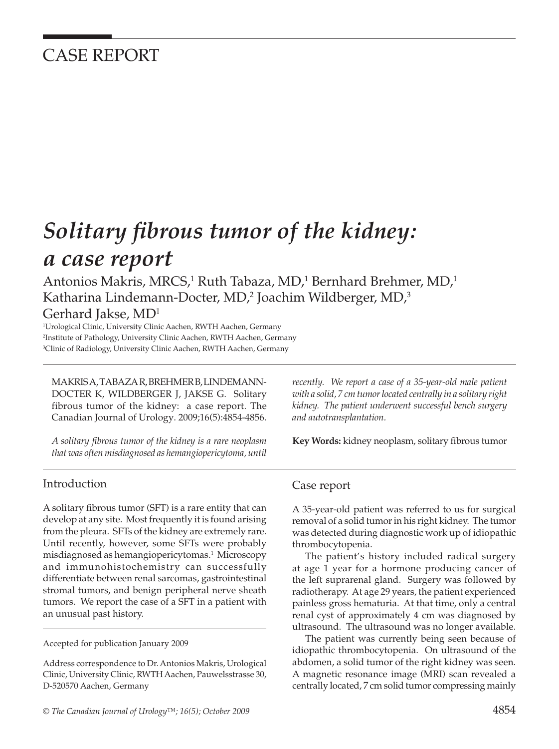## CASE REPORT

# **Solitary fibrous tumor of the kidney:** *a case report*

Antonios Makris, MRCS,<sup>1</sup> Ruth Tabaza, MD,<sup>1</sup> Bernhard Brehmer, MD,<sup>1</sup> Katharina Lindemann-Docter, MD, $^2$  Joachim Wildberger, MD, $^3$ 

### Gerhard Jakse, MD1

1 Urological Clinic, University Clinic Aachen, RWTH Aachen, Germany 2 Institute of Pathology, University Clinic Aachen, RWTH Aachen, Germany 3 Clinic of Radiology, University Clinic Aachen, RWTH Aachen, Germany

MAKRIS A, TABAZA R, BREHMER B, LINDEMANN-DOCTER K, WILDBERGER J, JAKSE G. Solitary fibrous tumor of the kidney: a case report. The Canadian Journal of Urology. 2009;16(5):4854-4856.

*A solitary fi brous tumor of the kidney is a rare neoplasm that was often misdiagnosed as hemangiopericytoma, until* 

#### Introduction

A solitary fibrous tumor (SFT) is a rare entity that can develop at any site. Most frequently it is found arising from the pleura. SFTs of the kidney are extremely rare. Until recently, however, some SFTs were probably misdiagnosed as hemangiopericytomas.1 Microscopy and immunohistochemistry can successfully differentiate between renal sarcomas, gastrointestinal stromal tumors, and benign peripheral nerve sheath tumors. We report the case of a SFT in a patient with an unusual past history.

Accepted for publication January 2009

Address correspondence to Dr. Antonios Makris, Urological Clinic, University Clinic, RWTH Aachen, Pauwelsstrasse 30, D-520570 Aachen, Germany

*recently. We report a case of a 35-year-old male patient with a solid, 7 cm tumor located centrally in a solitary right kidney. The patient underwent successful bench surgery and autotransplantation.*

Key Words: kidney neoplasm, solitary fibrous tumor

#### Case report

A 35-year-old patient was referred to us for surgical removal of a solid tumor in his right kidney. The tumor was detected during diagnostic work up of idiopathic thrombocytopenia.

The patient's history included radical surgery at age 1 year for a hormone producing cancer of the left suprarenal gland. Surgery was followed by radiotherapy. At age 29 years, the patient experienced painless gross hematuria. At that time, only a central renal cyst of approximately 4 cm was diagnosed by ultrasound. The ultrasound was no longer available.

The patient was currently being seen because of idiopathic thrombocytopenia. On ultrasound of the abdomen, a solid tumor of the right kidney was seen. A magnetic resonance image (MRI) scan revealed a centrally located, 7 cm solid tumor compressing mainly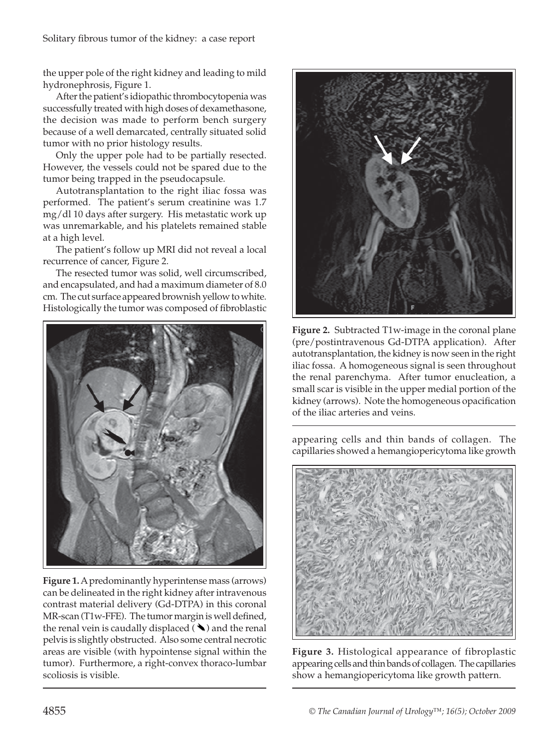the upper pole of the right kidney and leading to mild hydronephrosis, Figure 1.

After the patient's idiopathic thrombocytopenia was successfully treated with high doses of dexamethasone, the decision was made to perform bench surgery because of a well demarcated, centrally situated solid tumor with no prior histology results.

Only the upper pole had to be partially resected. However, the vessels could not be spared due to the tumor being trapped in the pseudocapsule.

Autotransplantation to the right iliac fossa was performed. The patient's serum creatinine was 1.7 mg/dl 10 days after surgery. His metastatic work up was unremarkable, and his platelets remained stable at a high level.

The patient's follow up MRI did not reveal a local recurrence of cancer, Figure 2.

The resected tumor was solid, well circumscribed, and encapsulated, and had a maximum diameter of 8.0 cm. The cut surface appeared brownish yellow to white. Histologically the tumor was composed of fibroblastic



**Figure 1.** A predominantly hyperintense mass (arrows) can be delineated in the right kidney after intravenous contrast material delivery (Gd-DTPA) in this coronal  $MR$ -scan (T1w-FFE). The tumor margin is well defined, the renal vein is caudally displaced  $(\blacktriangle)$  and the renal pelvis is slightly obstructed. Also some central necrotic areas are visible (with hypointense signal within the tumor). Furthermore, a right-convex thoraco-lumbar scoliosis is visible.



**Figure 2.** Subtracted T1w-image in the coronal plane (pre/postintravenous Gd-DTPA application). After autotransplantation, the kidney is now seen in the right iliac fossa. A homogeneous signal is seen throughout the renal parenchyma. After tumor enucleation, a small scar is visible in the upper medial portion of the kidney (arrows). Note the homogeneous opacification of the iliac arteries and veins.

appearing cells and thin bands of collagen. The capillaries showed a hemangiopericytoma like growth



**Figure 3.** Histological appearance of fibroplastic appearing cells and thin bands of collagen. The capillaries show a hemangiopericytoma like growth pattern.